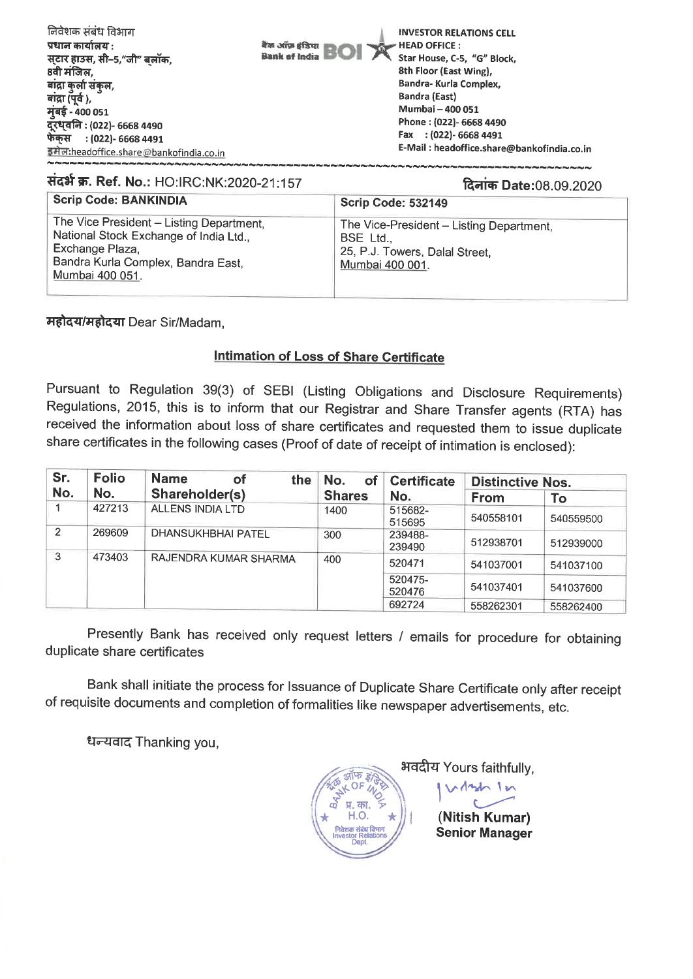| निवेशक संबंध विभाग<br>प्रधान कार्यालय :<br>सटार हाउस, सी-5,"जी" बलॉक.<br>8वी मंजिल. | <b>INVESTOR RELATIONS CELL</b><br>बैंक ऑफ़ इंडिया<br>$\blacktriangleright$ HEAD OFFICE :<br><b>Bank of India</b><br>Star House, C-5, "G" Block.<br>8th Floor (East Wing), |
|-------------------------------------------------------------------------------------|---------------------------------------------------------------------------------------------------------------------------------------------------------------------------|
| बांद्रा कर्ला संकल,                                                                 | Bandra- Kurla Complex,                                                                                                                                                    |
| बांद्रा (पूर्व ),                                                                   | Bandra (East)                                                                                                                                                             |
| मुंबई - 400 051                                                                     | Mumbai - 400 051                                                                                                                                                          |
| दूरध्वनि : (022)- 6668 4490                                                         | Phone: (022)- 6668 4490                                                                                                                                                   |
| फेकुस : (022)- 6668 4491                                                            | Fax : (022)- 6668 4491                                                                                                                                                    |
| इमेल:headoffice.share@bankofindia.co.in                                             | E-Mail: headoffice.share@bankofindia.co.in                                                                                                                                |

## संदर्भ क्र. Ref. No.: HO:IRC:NK:2020-21:157 दिनांक Date:08.09.2020 **Scrip Code: BANKINDIA Scrip Code: 532149** The Vice President - Listing Department, The Vice-President - Listing Department. National Stock Exchange of India Ltd., BSE Ltd., Exchange Plaza, 25, P.J. Towers, Dalal Street. Bandra Kurla Complex, Bandra East, Mumbai 400 001. Mumbai 400 051.

महोदय/महोदया Dear Sir/Madam,

## **Intimation of Loss of Share Certificate**

Pursuant to Regulation 39(3) of SEBI (Listing Obligations and Disclosure Requirements) Regulations, 2015, this is to inform that our Registrar and Share Transfer agents (RTA) has received the information about loss of share certificates and requested them to issue duplicate share certificates in the following cases (Proof of date of receipt of intimation is enclosed):

| Sr.<br><b>Folio</b><br>No.<br>No. |        | <b>Name</b><br>the<br>оf  | No.<br><b>of</b> | <b>Certificate</b> | <b>Distinctive Nos.</b> |           |
|-----------------------------------|--------|---------------------------|------------------|--------------------|-------------------------|-----------|
|                                   |        | Shareholder(s)            | Shares           | No.                | <b>From</b>             | To        |
|                                   | 427213 | <b>ALLENS INDIA LTD</b>   | 1400             | 515682-<br>515695  | 540558101               | 540559500 |
| 2                                 | 269609 | <b>DHANSUKHBHAI PATEL</b> | 300              | 239488-<br>239490  | 512938701               | 512939000 |
| 3<br>473403                       |        | RAJENDRA KUMAR SHARMA     | 400              | 520471             | 541037001               | 541037100 |
|                                   |        |                           |                  | 520475-<br>520476  | 541037401               | 541037600 |
|                                   |        |                           |                  | 692724             | 558262301               | 558262400 |

Presently Bank has received only request letters / emails for procedure for obtaining duplicate share certificates

Bank shall initiate the process for Issuance of Duplicate Share Certificate only after receipt of requisite documents and completion of formalities like newspaper advertisements, etc.

धन्यवाद Thanking you,

भवदीय Yours faithfully,  $121 - 12$ (Nitish Kumar) **Senior Manager**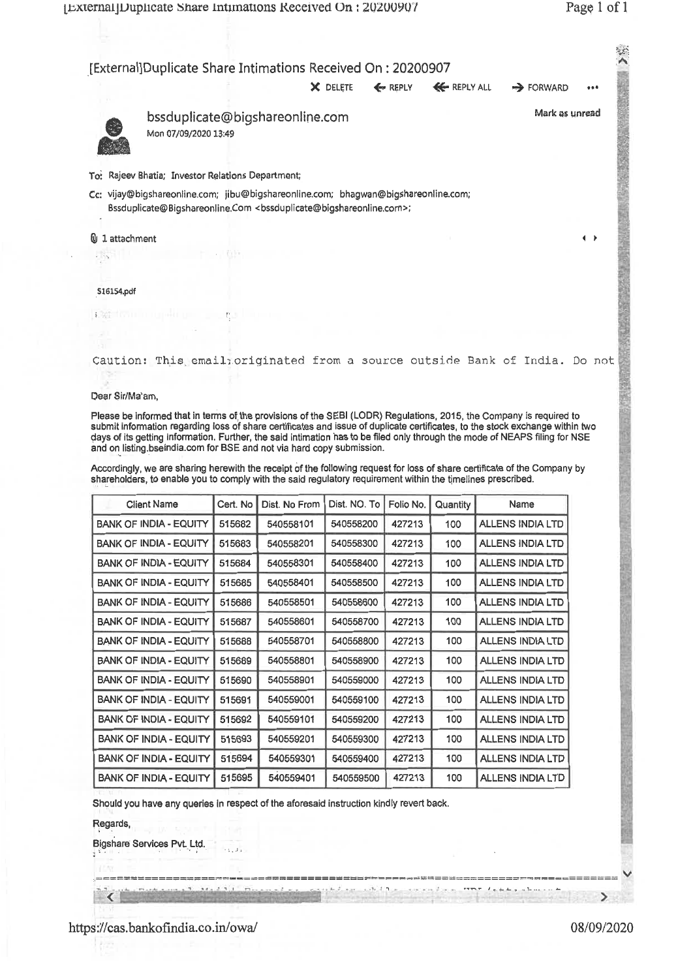|                                                                                                                                                                                                                                                                                                                                                                                                                                                                                                                                                                                                                                                                                                                                |          |                                 | X DELETE     | <b>Exp</b> REPLY | <b>EG REPLY ALL</b> | <b>B</b> FORWARD        |                   |
|--------------------------------------------------------------------------------------------------------------------------------------------------------------------------------------------------------------------------------------------------------------------------------------------------------------------------------------------------------------------------------------------------------------------------------------------------------------------------------------------------------------------------------------------------------------------------------------------------------------------------------------------------------------------------------------------------------------------------------|----------|---------------------------------|--------------|------------------|---------------------|-------------------------|-------------------|
| Mon 07/09/2020 13:49                                                                                                                                                                                                                                                                                                                                                                                                                                                                                                                                                                                                                                                                                                           |          | bssduplicate@bigshareonline.com |              |                  |                     |                         | Mark as unread    |
| To: Rajeev Bhatia; Investor Relations Department;                                                                                                                                                                                                                                                                                                                                                                                                                                                                                                                                                                                                                                                                              |          |                                 |              |                  |                     |                         |                   |
| Cc: vijay@bigshareonline.com; jibu@bigshareonline.com; bhagwan@bigshareonline.com;<br>Bssduplicate@Bigshareonline.Com <bssduplicate@bigshareonline.com>;</bssduplicate@bigshareonline.com>                                                                                                                                                                                                                                                                                                                                                                                                                                                                                                                                     |          |                                 |              |                  |                     |                         |                   |
| <b>U</b> 1 attachment                                                                                                                                                                                                                                                                                                                                                                                                                                                                                                                                                                                                                                                                                                          |          |                                 |              |                  |                     |                         | $\leftrightarrow$ |
|                                                                                                                                                                                                                                                                                                                                                                                                                                                                                                                                                                                                                                                                                                                                |          |                                 |              |                  |                     |                         |                   |
|                                                                                                                                                                                                                                                                                                                                                                                                                                                                                                                                                                                                                                                                                                                                |          |                                 |              |                  |                     |                         |                   |
| 516154.pdf                                                                                                                                                                                                                                                                                                                                                                                                                                                                                                                                                                                                                                                                                                                     |          |                                 |              |                  |                     |                         |                   |
| <b>DATI INTERNATIONAL DELL'INC.</b>                                                                                                                                                                                                                                                                                                                                                                                                                                                                                                                                                                                                                                                                                            |          |                                 |              |                  |                     |                         |                   |
|                                                                                                                                                                                                                                                                                                                                                                                                                                                                                                                                                                                                                                                                                                                                |          |                                 |              |                  |                     |                         |                   |
| Caution: This email: originated from a source outside Bank of India. Do not                                                                                                                                                                                                                                                                                                                                                                                                                                                                                                                                                                                                                                                    |          |                                 |              |                  |                     |                         |                   |
|                                                                                                                                                                                                                                                                                                                                                                                                                                                                                                                                                                                                                                                                                                                                |          |                                 |              |                  |                     |                         |                   |
| Dear Sir/Ma'am,                                                                                                                                                                                                                                                                                                                                                                                                                                                                                                                                                                                                                                                                                                                |          |                                 |              |                  |                     |                         |                   |
|                                                                                                                                                                                                                                                                                                                                                                                                                                                                                                                                                                                                                                                                                                                                |          |                                 |              |                  |                     |                         |                   |
|                                                                                                                                                                                                                                                                                                                                                                                                                                                                                                                                                                                                                                                                                                                                |          |                                 |              |                  |                     |                         |                   |
| Please be informed that in terms of the provisions of the SEBI (LODR) Regulations, 2015, the Company is required to<br>submit information regarding loss of share certificates and issue of duplicate certificates, to the stock exchange within two<br>days of its getting information. Further, the said intimation has to be filed only through the mode of NEAPS filing for NSE<br>and on listing bseindia.com for BSE and not via hard copy submission.<br>Accordingly, we are sharing herewith the receipt of the following request for loss of share certificate of the Company by<br>shareholders, to enable you to comply with the said regulatory requirement within the timelines prescribed.<br><b>Client Name</b> | Cert. No | Dist. No From                   | Dist. NO. To | Folio No.        | Quantity            | Name                    |                   |
| <b>BANK OF INDIA - EQUITY</b>                                                                                                                                                                                                                                                                                                                                                                                                                                                                                                                                                                                                                                                                                                  | 515682   | 540558101                       | 540558200    | 427213           | 100                 | <b>ALLENS INDIA LTD</b> |                   |
|                                                                                                                                                                                                                                                                                                                                                                                                                                                                                                                                                                                                                                                                                                                                | 515683   | 540558201                       | 540558300    | 427213           | 100                 | <b>ALLENS INDIA LTD</b> |                   |
| <b>BANK OF INDIA - EQUITY</b><br><b>BANK OF INDIA - EQUITY</b>                                                                                                                                                                                                                                                                                                                                                                                                                                                                                                                                                                                                                                                                 | 515684   | 540558301                       | 540558400    | 427213           | 100                 | <b>ALLENS INDIA LTD</b> |                   |
| BANK OF INDIA - EQUITY                                                                                                                                                                                                                                                                                                                                                                                                                                                                                                                                                                                                                                                                                                         | 515685   | 540558401                       | 540558500    | 427213           | 100                 | <b>ALLENS INDIA LTD</b> |                   |
| <b>BANK OF INDIA - EQUITY</b>                                                                                                                                                                                                                                                                                                                                                                                                                                                                                                                                                                                                                                                                                                  | 515686   | 540558501                       | 540558600    | 427213           | 100                 | <b>ALLENS INDIA LTD</b> |                   |
| <b>BANK OF INDIA - EQUITY</b>                                                                                                                                                                                                                                                                                                                                                                                                                                                                                                                                                                                                                                                                                                  | 515687   | 540558601                       | 540558700    | 427213           | 100                 | <b>ALLENS INDIA LTD</b> |                   |
| <b>BANK OF INDIA - EQUITY</b>                                                                                                                                                                                                                                                                                                                                                                                                                                                                                                                                                                                                                                                                                                  | 515688   | 540558701                       | 540558800    | 427213           | 100                 | ALLENS INDIA LTD        |                   |
| <b>BANK OF INDIA - EQUITY</b>                                                                                                                                                                                                                                                                                                                                                                                                                                                                                                                                                                                                                                                                                                  | 515689   | 540558801                       | 540558900    | 427213           | 100                 | ALLENS INDIA LTD        |                   |
| <b>BANK OF INDIA - EQUITY</b>                                                                                                                                                                                                                                                                                                                                                                                                                                                                                                                                                                                                                                                                                                  | 515690   | 540558901                       | 540559000    | 427213           | 100                 | <b>ALLENS INDIA LTD</b> |                   |
|                                                                                                                                                                                                                                                                                                                                                                                                                                                                                                                                                                                                                                                                                                                                | 515691   | 540559001                       | 540559100    | 427213           | 100                 | <b>ALLENS INDIA LTD</b> |                   |
| <b>BANK OF INDIA - EQUITY</b><br><b>BANK OF INDIA - EQUITY</b>                                                                                                                                                                                                                                                                                                                                                                                                                                                                                                                                                                                                                                                                 | 515692   | 540559101                       | 540559200    | 427213           | 100                 | ALLENS INDIA LTD        |                   |
| <b>BANK OF INDIA - EQUITY</b>                                                                                                                                                                                                                                                                                                                                                                                                                                                                                                                                                                                                                                                                                                  | 515693   | 540559201                       | 540559300    | 427213           | 100                 | <b>ALLENS INDIA LTD</b> |                   |
| <b>BANK OF INDIA - EQUITY</b>                                                                                                                                                                                                                                                                                                                                                                                                                                                                                                                                                                                                                                                                                                  | 515694   | 540559301                       | 540559400    | 427213           | 100                 | <b>ALLENS INDIA LTD</b> |                   |

Should you have any queries in respect of the aforesaid instruction kindly revert back.

 $\mathcal{L}_{\frac{1}{2},\frac{1}{2},\frac{1}{2}}$ 

Regards,

 $\sim$ 

Bigshare Services Pvt. Ltd.

https://cas.bankofindia.co.in/owa/ 08/09/2020

V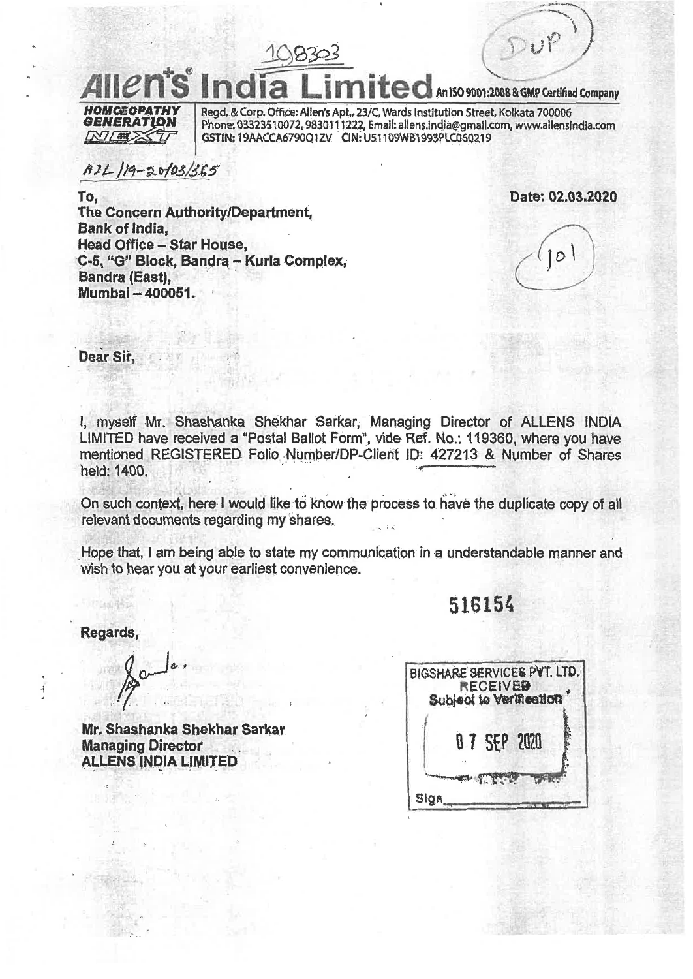**An ISO 9001:2008 & GMP Certified Company** 

**HOMOEOPATHY GENERATION** *NIES* 

Regd. & Corp. Office: Allen's Apt., 23/C, Wards Institution Street, Kolkata 700006 Phone: 03323510072, 9830111222, Email: allens.india@gmail.com, www.allensindia.com **GSTIN;** 19AACCA6790Q1ZV C1N: U51109W81993PLC060219

 $A21$ 19-20103/365

**Date: 02.03.2020** 

**To, The Concern Authority/Department, Bank of India, Head Office - Star House, C-5, "0" Block, Sandra - Kuria Complex, Bandra (East), Mumbai - 400051.** 

 $10|$ 

**Dear Sir,** 

**I, myself Mr. Shashanka Shekhar Sarkar, Managing Director of ALLENS INDIA LIMITED have received a "Postal Ballot Form", vide Ref. No.: 119360, where you have mentioned REGISTERED Folio Number/DP-Client ID: 427213 & Number of Shares held: 1400.** 

**On such context, here I would like to know the process to have the duplicate copy of all relevant documents regarding my shares.** 

**Hope that, I am being able to state my communication in a understandable manner and wish to hear you at your earliest convenience.** 

**516154** 

**Regards,** 

**Mr. Shashanka Shekhar Sarkar Managing Director ALLENS INDIA LIMITED** 

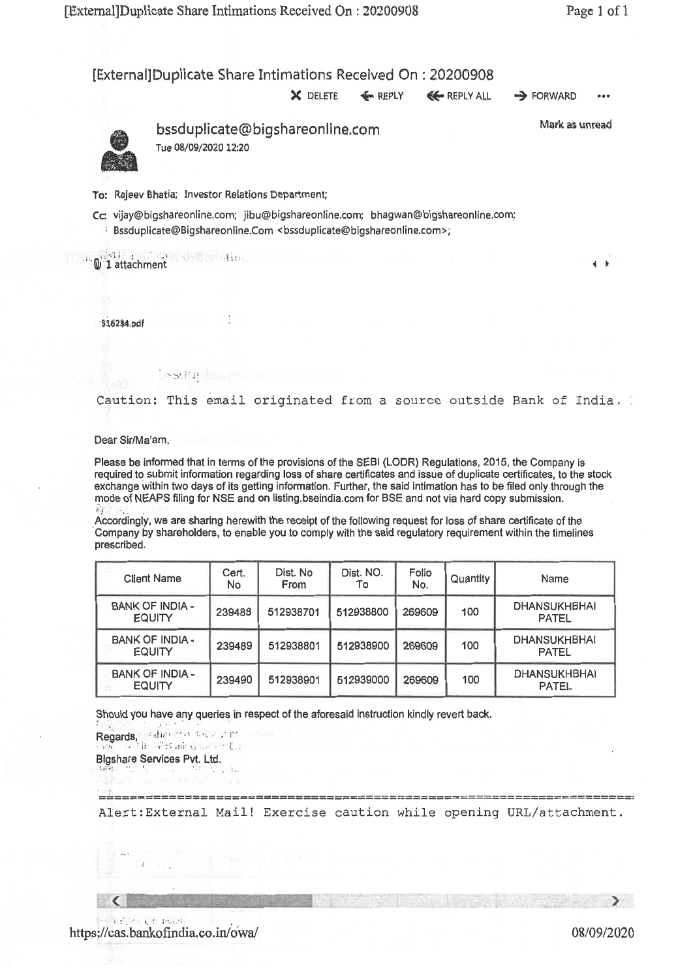[External] Duplicate Share Intimations Received On : 20200908

X DELETE  $\iff$  REPLY  $\iff$  REPLY ALL  $\Rightarrow$  FORWARD •••



bssduplicate@bigshareonline.com Tue 08/09/202012:20

Mark as unread

**4 0** 

To: Rajeev Bhatia; Investor Relations Department;

**INSTRALIES** 

Cc: vijay@bigshareonline.com; jibu@bigshareonline.com; bhagwan@bigshareonline.com;

Bssduplicate@Bigshareonline.Com <bssduplicate@bigshareonline.com>;

**1** attachment **diamentin** 

\$16234.pdf

Caution: This email originated from a source outside Bank of India.

Dear Sir/Ma'am,

Please be informed that in terms of the provisions of the SEBI (LODR) Regulations, 2015, the Company is required to submit information regarding loss of share certificates and issue of duplicate certificates, to the stock exchange within two days of its getting information. Further, the said intimation has to be filed only through the mode of NEAPS filing for NSE and on listing.bseindia.comfor BSE and not via hard copy submission.

Accordingly, we are sharing herewith the receipt of the following request for loss of share certificate of the Company by shareholders, to enable you to comply with the said regulatory requirement within the timelines prescribed.

| <b>Client Name</b>                      | Cert.<br>No. | Dist. No<br>From | Dist. NO.<br>To | Folio<br>No. | Quantity | Name                                |
|-----------------------------------------|--------------|------------------|-----------------|--------------|----------|-------------------------------------|
| <b>BANK OF INDIA -</b><br><b>EQUITY</b> | 239488       | 512938701        | 512938800       | 269609       | 100      | <b>DHANSUKHBHAI</b><br><b>PATEL</b> |
| <b>BANK OF INDIA-</b><br><b>EQUITY</b>  | 239489       | 512938801        | 512938900       | 269609       | 100      | <b>DHANSUKHBHAI</b><br><b>PATEL</b> |
| <b>BANK OF INDIA -</b><br><b>EQUITY</b> | 239490       | 512938901        | 512939000       | 269609       | 100      | <b>DHANSUKHBHAI</b><br><b>PATEL</b> |

Should you have any queries in respect of the aforesaid instruction kindly revert back.

Regards, <1,'" " " ;• ,,,;• L Bigshare Services Pvt. Ltd. 

Alert:External Mail! Exercise caution while opening URL/attachment.

 $\sum$